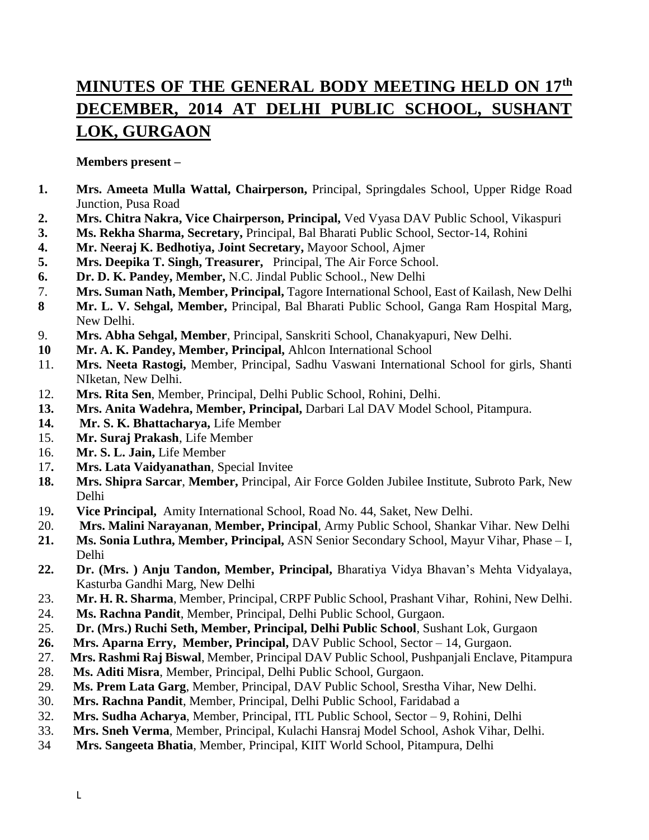# **MINUTES OF THE GENERAL BODY MEETING HELD ON 17th DECEMBER, 2014 AT DELHI PUBLIC SCHOOL, SUSHANT LOK, GURGAON**

#### **Members present –**

- **1. Mrs. Ameeta Mulla Wattal, Chairperson,** Principal, Springdales School, Upper Ridge Road Junction, Pusa Road
- **2. Mrs. Chitra Nakra, Vice Chairperson, Principal,** Ved Vyasa DAV Public School, Vikaspuri
- **3. Ms. Rekha Sharma, Secretary,** Principal, Bal Bharati Public School, Sector-14, Rohini
- **4. Mr. Neeraj K. Bedhotiya, Joint Secretary,** Mayoor School, Ajmer
- **5. Mrs. Deepika T. Singh, Treasurer,** Principal, The Air Force School.
- **6. Dr. D. K. Pandey, Member,** N.C. Jindal Public School., New Delhi
- 7. **Mrs. Suman Nath, Member, Principal,** Tagore International School, East of Kailash, New Delhi
- **8 Mr. L. V. Sehgal, Member,** Principal, Bal Bharati Public School, Ganga Ram Hospital Marg, New Delhi.
- 9. **Mrs. Abha Sehgal, Member**, Principal, Sanskriti School, Chanakyapuri, New Delhi.
- **10 Mr. A. K. Pandey, Member, Principal,** Ahlcon International School
- 11. **Mrs. Neeta Rastogi,** Member, Principal, Sadhu Vaswani International School for girls, Shanti NIketan, New Delhi.
- 12. **Mrs. Rita Sen**, Member, Principal, Delhi Public School, Rohini, Delhi.
- **13. Mrs. Anita Wadehra, Member, Principal,** Darbari Lal DAV Model School, Pitampura.
- **14. Mr. S. K. Bhattacharya,** Life Member
- 15. **Mr. Suraj Prakash**, Life Member
- 16. **Mr. S. L. Jain,** Life Member
- 17**. Mrs. Lata Vaidyanathan**, Special Invitee
- **18. Mrs. Shipra Sarcar**, **Member,** Principal, Air Force Golden Jubilee Institute, Subroto Park, New Delhi
- 19**. Vice Principal,** Amity International School, Road No. 44, Saket, New Delhi.
- 20. **Mrs. Malini Narayanan**, **Member, Principal**, Army Public School, Shankar Vihar. New Delhi
- **21. Ms. Sonia Luthra, Member, Principal,** ASN Senior Secondary School, Mayur Vihar, Phase I, Delhi
- **22. Dr. (Mrs. ) Anju Tandon, Member, Principal,** Bharatiya Vidya Bhavan's Mehta Vidyalaya, Kasturba Gandhi Marg, New Delhi
- 23. **Mr. H. R. Sharma**, Member, Principal, CRPF Public School, Prashant Vihar, Rohini, New Delhi.
- 24. **Ms. Rachna Pandit**, Member, Principal, Delhi Public School, Gurgaon.
- 25. **Dr. (Mrs.) Ruchi Seth, Member, Principal, Delhi Public School**, Sushant Lok, Gurgaon
- **26. Mrs. Aparna Erry, Member, Principal,** DAV Public School, Sector 14, Gurgaon.
- 27. **Mrs. Rashmi Raj Biswal**, Member, Principal DAV Public School, Pushpanjali Enclave, Pitampura
- 28. **Ms. Aditi Misra**, Member, Principal, Delhi Public School, Gurgaon.
- 29. **Ms. Prem Lata Garg**, Member, Principal, DAV Public School, Srestha Vihar, New Delhi.
- 30. **Mrs. Rachna Pandit**, Member, Principal, Delhi Public School, Faridabad a
- 32. **Mrs. Sudha Acharya**, Member, Principal, ITL Public School, Sector 9, Rohini, Delhi
- 33. **Mrs. Sneh Verma**, Member, Principal, Kulachi Hansraj Model School, Ashok Vihar, Delhi.
- 34 **Mrs. Sangeeta Bhatia**, Member, Principal, KIIT World School, Pitampura, Delhi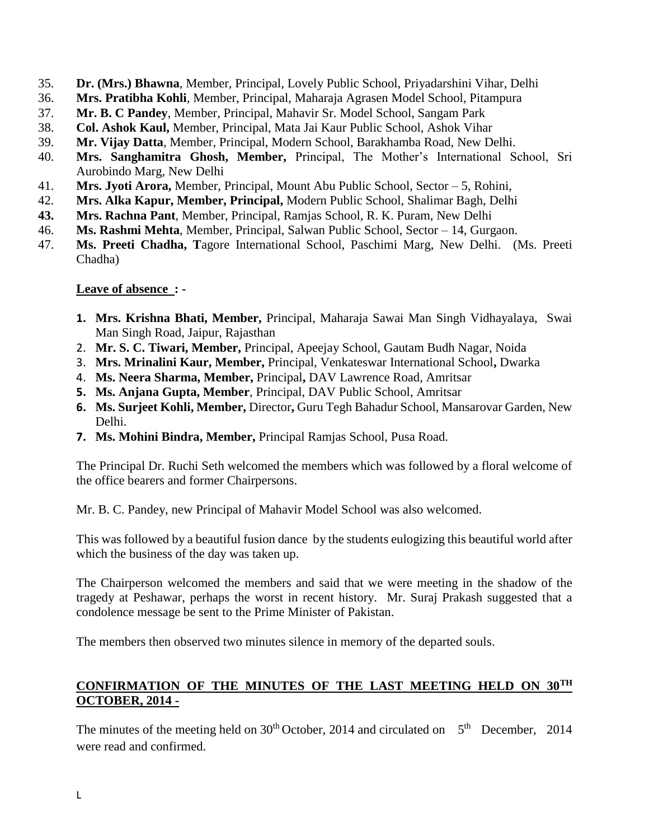- 35. **Dr. (Mrs.) Bhawna**, Member, Principal, Lovely Public School, Priyadarshini Vihar, Delhi
- 36. **Mrs. Pratibha Kohli**, Member, Principal, Maharaja Agrasen Model School, Pitampura
- 37. **Mr. B. C Pandey**, Member, Principal, Mahavir Sr. Model School, Sangam Park
- 38. **Col. Ashok Kaul,** Member, Principal, Mata Jai Kaur Public School, Ashok Vihar
- 39. **Mr. Vijay Datta**, Member, Principal, Modern School, Barakhamba Road, New Delhi.
- 40. **Mrs. Sanghamitra Ghosh, Member,** Principal, The Mother's International School, Sri Aurobindo Marg, New Delhi
- 41. **Mrs. Jyoti Arora,** Member, Principal, Mount Abu Public School, Sector 5, Rohini,
- 42. **Mrs. Alka Kapur, Member, Principal,** Modern Public School, Shalimar Bagh, Delhi
- **43. Mrs. Rachna Pant**, Member, Principal, Ramjas School, R. K. Puram, New Delhi
- 46. **Ms. Rashmi Mehta**, Member, Principal, Salwan Public School, Sector 14, Gurgaon.
- 47. **Ms. Preeti Chadha, T**agore International School, Paschimi Marg, New Delhi. (Ms. Preeti Chadha)

#### **Leave of absence : -**

- **1. Mrs. Krishna Bhati, Member,** Principal, Maharaja Sawai Man Singh Vidhayalaya, Swai Man Singh Road, Jaipur, Rajasthan
- 2. **Mr. S. C. Tiwari, Member,** Principal, Apeejay School, Gautam Budh Nagar, Noida
- 3. **Mrs. Mrinalini Kaur, Member,** Principal, Venkateswar International School**,** Dwarka
- 4. **Ms. Neera Sharma, Member,** Principal**,** DAV Lawrence Road, Amritsar
- **5. Ms. Anjana Gupta, Member**, Principal, DAV Public School, Amritsar
- **6. Ms. Surjeet Kohli, Member,** Director**,** Guru Tegh Bahadur School, Mansarovar Garden, New Delhi.
- **7. Ms. Mohini Bindra, Member,** Principal Ramjas School, Pusa Road.

The Principal Dr. Ruchi Seth welcomed the members which was followed by a floral welcome of the office bearers and former Chairpersons.

Mr. B. C. Pandey, new Principal of Mahavir Model School was also welcomed.

This was followed by a beautiful fusion dance by the students eulogizing this beautiful world after which the business of the day was taken up.

The Chairperson welcomed the members and said that we were meeting in the shadow of the tragedy at Peshawar, perhaps the worst in recent history. Mr. Suraj Prakash suggested that a condolence message be sent to the Prime Minister of Pakistan.

The members then observed two minutes silence in memory of the departed souls.

# **CONFIRMATION OF THE MINUTES OF THE LAST MEETING HELD ON 30TH OCTOBER, 2014 -**

The minutes of the meeting held on  $30<sup>th</sup>$  October, 2014 and circulated on  $5<sup>th</sup>$  December, 2014 were read and confirmed.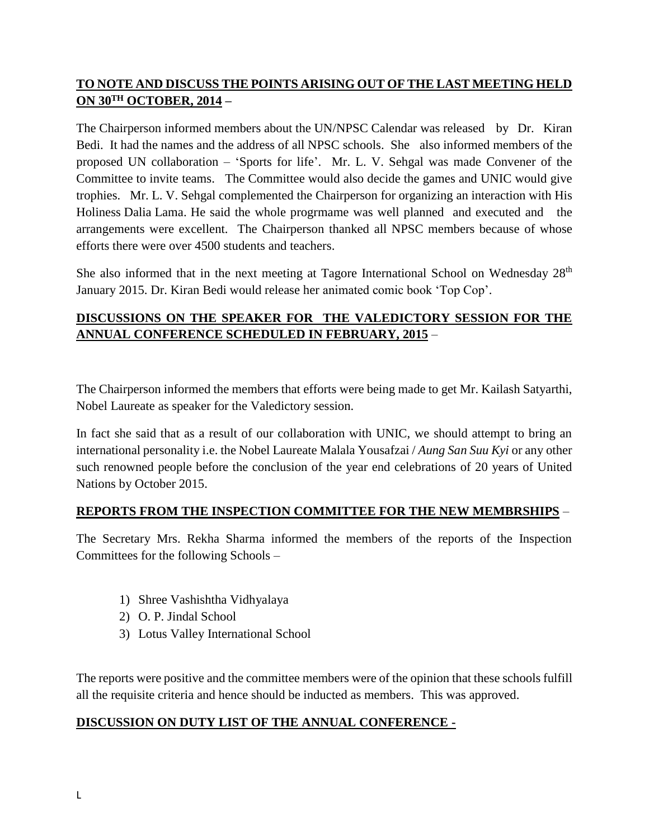# **TO NOTE AND DISCUSS THE POINTS ARISING OUT OF THE LAST MEETING HELD ON 30TH OCTOBER, 2014 –**

The Chairperson informed members about the UN/NPSC Calendar was released by Dr. Kiran Bedi. It had the names and the address of all NPSC schools. She also informed members of the proposed UN collaboration – 'Sports for life'. Mr. L. V. Sehgal was made Convener of the Committee to invite teams. The Committee would also decide the games and UNIC would give trophies. Mr. L. V. Sehgal complemented the Chairperson for organizing an interaction with His Holiness Dalia Lama. He said the whole progrmame was well planned and executed and the arrangements were excellent. The Chairperson thanked all NPSC members because of whose efforts there were over 4500 students and teachers.

She also informed that in the next meeting at Tagore International School on Wednesday 28<sup>th</sup> January 2015. Dr. Kiran Bedi would release her animated comic book 'Top Cop'.

# **DISCUSSIONS ON THE SPEAKER FOR THE VALEDICTORY SESSION FOR THE ANNUAL CONFERENCE SCHEDULED IN FEBRUARY, 2015** –

The Chairperson informed the members that efforts were being made to get Mr. Kailash Satyarthi, Nobel Laureate as speaker for the Valedictory session.

In fact she said that as a result of our collaboration with UNIC, we should attempt to bring an international personality i.e. the Nobel Laureate [Malala Yousafzai](http://en.wikipedia.org/wiki/Malala_Yousafzai) / *Aung San Suu Kyi* or any other such renowned people before the conclusion of the year end celebrations of 20 years of United Nations by October 2015.

### **REPORTS FROM THE INSPECTION COMMITTEE FOR THE NEW MEMBRSHIPS** –

The Secretary Mrs. Rekha Sharma informed the members of the reports of the Inspection Committees for the following Schools –

- 1) Shree Vashishtha Vidhyalaya
- 2) O. P. Jindal School
- 3) Lotus Valley International School

The reports were positive and the committee members were of the opinion that these schools fulfill all the requisite criteria and hence should be inducted as members. This was approved.

### **DISCUSSION ON DUTY LIST OF THE ANNUAL CONFERENCE -**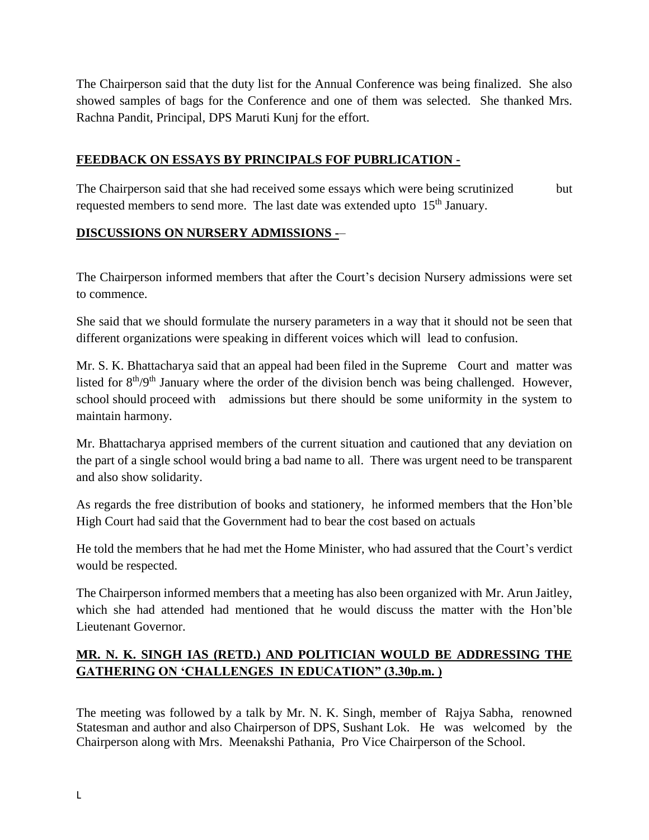The Chairperson said that the duty list for the Annual Conference was being finalized. She also showed samples of bags for the Conference and one of them was selected. She thanked Mrs. Rachna Pandit, Principal, DPS Maruti Kunj for the effort.

#### **FEEDBACK ON ESSAYS BY PRINCIPALS FOF PUBRLICATION -**

The Chairperson said that she had received some essays which were being scrutinized but requested members to send more. The last date was extended upto 15<sup>th</sup> January.

#### **DISCUSSIONS ON NURSERY ADMISSIONS -**–

The Chairperson informed members that after the Court's decision Nursery admissions were set to commence.

She said that we should formulate the nursery parameters in a way that it should not be seen that different organizations were speaking in different voices which will lead to confusion.

Mr. S. K. Bhattacharya said that an appeal had been filed in the Supreme Court and matter was listed for 8<sup>th</sup>/9<sup>th</sup> January where the order of the division bench was being challenged. However, school should proceed with admissions but there should be some uniformity in the system to maintain harmony.

Mr. Bhattacharya apprised members of the current situation and cautioned that any deviation on the part of a single school would bring a bad name to all. There was urgent need to be transparent and also show solidarity.

As regards the free distribution of books and stationery, he informed members that the Hon'ble High Court had said that the Government had to bear the cost based on actuals

He told the members that he had met the Home Minister, who had assured that the Court's verdict would be respected.

The Chairperson informed members that a meeting has also been organized with Mr. Arun Jaitley, which she had attended had mentioned that he would discuss the matter with the Hon'ble Lieutenant Governor.

# **MR. N. K. SINGH IAS (RETD.) AND POLITICIAN WOULD BE ADDRESSING THE GATHERING ON 'CHALLENGES IN EDUCATION" (3.30p.m. )**

The meeting was followed by a talk by Mr. N. K. Singh, member of Rajya Sabha, renowned Statesman and author and also Chairperson of DPS, Sushant Lok. He was welcomed by the Chairperson along with Mrs. Meenakshi Pathania, Pro Vice Chairperson of the School.